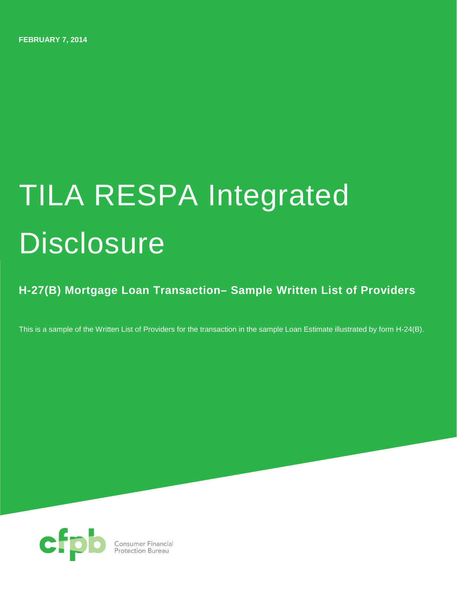**FEBRUARY 7, 2014**

## TILA RESPA Integrated **Disclosure**

**H-27(B) Mortgage Loan Transaction– Sample Written List of Providers**

This is a sample of the Written List of Providers for the transaction in the sample Loan Estimate illustrated by form H-24(B).